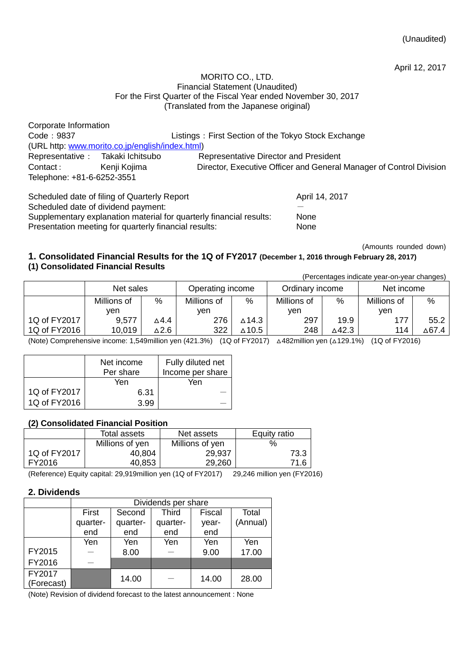(Unaudited)

April 12, 2017

#### MORITO CO., LTD. Financial Statement (Unaudited) For the First Quarter of the Fiscal Year ended November 30, 2017 (Translated from the Japanese original)

| Corporate Information      |                                                 |                                                                     |
|----------------------------|-------------------------------------------------|---------------------------------------------------------------------|
| Code: 9837                 |                                                 | Listings: First Section of the Tokyo Stock Exchange                 |
|                            | (URL http: www.morito.co.jp/english/index.html) |                                                                     |
|                            | Representative : Takaki Ichitsubo               | Representative Director and President                               |
| Contact:                   | Kenji Kojima                                    | Director, Executive Officer and General Manager of Control Division |
| Telephone: +81-6-6252-3551 |                                                 |                                                                     |
|                            | Scheduled date of filing of Quarterly Report    | April 14, 2017                                                      |

Scheduled date of dividend payment: Supplementary explanation material for quarterly financial results: None

Presentation meeting for quarterly financial results: None

(Amounts rounded down)

### **1. Consolidated Financial Results for the 1Q of FY2017 (December 1, 2016 through February 28, 2017) (1) Consolidated Financial Results**

|              |             |      |                  |       |                 |       | (Percentages indicate year-on-year changes) |       |
|--------------|-------------|------|------------------|-------|-----------------|-------|---------------------------------------------|-------|
|              | Net sales   |      | Operating income |       | Ordinary income |       | Net income                                  |       |
|              | Millions of | $\%$ | Millions of      | $\%$  | Millions of     | %     | Millions of                                 | $\%$  |
|              | ven         |      | ven              |       | ven             |       | ven                                         |       |
| 1Q of FY2017 | 9,577       | ∆4.4 | 276              | ∆14.3 | 297             | 19.9  | 177                                         | 55.2  |
| 1Q of FY2016 | 10,019      | ∆2.6 | 322              | ∆10.5 | 248             | ∆42.3 | 114                                         | ∆67.4 |

(Note) Comprehensive income: 1,549million yen (421.3%) (1Q of FY2017) △482million yen (△129.1%) (1Q of FY2016)

|              | Net income<br>Per share | Fully diluted net<br>Income per share |
|--------------|-------------------------|---------------------------------------|
|              | Yen                     | Yen                                   |
| 1Q of FY2017 | 6.31                    |                                       |
| 1Q of FY2016 | 3.99                    |                                       |

# **(2) Consolidated Financial Position**

|              | Total assets    | Net assets      | Equity ratio |  |
|--------------|-----------------|-----------------|--------------|--|
|              | Millions of yen | Millions of yen | %            |  |
| 1Q of FY2017 | 40.804          | 29,937          | 73.3         |  |
| FY2016       | 40.853          | 29,260          | 71.6         |  |

(Reference) Equity capital: 29,919million yen (1Q of FY2017) 29,246 million yen (FY2016)

# **2. Dividends**

|                      | Dividends per share |          |              |        |          |  |
|----------------------|---------------------|----------|--------------|--------|----------|--|
|                      | First               | Second   | <b>Third</b> | Fiscal | Total    |  |
|                      | quarter-            | quarter- | quarter-     | year-  | (Annual) |  |
|                      | end                 | end      | end          | end    |          |  |
|                      | Yen                 | Yen      | Yen          | Yen    | Yen      |  |
| FY2015               |                     | 8.00     |              | 9.00   | 17.00    |  |
| FY2016               |                     |          |              |        |          |  |
| FY2017<br>(Forecast) |                     | 14.00    |              | 14.00  | 28.00    |  |

(Note) Revision of dividend forecast to the latest announcement : None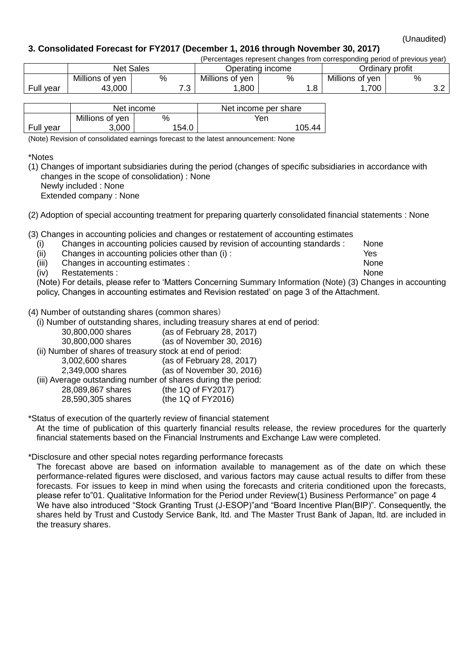(Unaudited)

# **3. Consolidated Forecast for FY2017 (December 1, 2016 through November 30, 2017)**

| (Percentages represent changes from corresponding period of previous year) |                 |                                      |           |                 |   |                 |                 |   |          |
|----------------------------------------------------------------------------|-----------------|--------------------------------------|-----------|-----------------|---|-----------------|-----------------|---|----------|
|                                                                            |                 | <b>Net Sales</b><br>Operating income |           |                 |   | Ordinarv profit |                 |   |          |
|                                                                            | Millions of yen | %                                    |           | Millions of yen | % |                 | Millions of yen | % |          |
| Full year                                                                  | 43,000          |                                      | 70<br>. ت | .800            |   | ∣.o             | 700             |   | ົ<br>ے.ت |

|           |                 | Net income | Net income per share |  |
|-----------|-----------------|------------|----------------------|--|
|           | Millions of yen |            | Yen                  |  |
| Full year | 3.000           | 154.0      | 105.44               |  |

(Note) Revision of consolidated earnings forecast to the latest announcement: None

\*Notes

(1) Changes of important subsidiaries during the period (changes of specific subsidiaries in accordance with changes in the scope of consolidation) : None Newly included : None

Extended company : None

(2) Adoption of special accounting treatment for preparing quarterly consolidated financial statements : None

(3) Changes in accounting policies and changes or restatement of accounting estimates

- (i) Changes in accounting policies caused by revision of accounting standards : None
- (ii) Changes in accounting policies other than (i) : Yes
- (iii) Changes in accounting estimates : None

(iv) Restatements : None

(Note) For details, please refer to 'Matters Concerning Summary Information (Note) (3) Changes in accounting policy, Changes in accounting estimates and Revision restated' on page 3 of the Attachment.

### (4) Number of outstanding shares (common shares)

(i) Number of outstanding shares, including treasury shares at end of period:

- 30,800,000 shares (as of February 28, 2017)
- 30,800,000 shares (as of November 30, 2016)
- (ii) Number of shares of treasury stock at end of period:
	- 3,002,600 shares (as of February 28, 2017) 2,349,000 shares (as of November 30, 2016)

(iii) Average outstanding number of shares during the period:

28,089,867 shares (the 1Q of FY2017)

28,590,305 shares (the 1Q of FY2016)

\*Status of execution of the quarterly review of financial statement

At the time of publication of this quarterly financial results release, the review procedures for the quarterly financial statements based on the Financial Instruments and Exchange Law were completed.

# \*Disclosure and other special notes regarding performance forecasts

The forecast above are based on information available to management as of the date on which these performance-related figures were disclosed, and various factors may cause actual results to differ from these forecasts. For issues to keep in mind when using the forecasts and criteria conditioned upon the forecasts, please refer to["01. Qualitative Information for the Period under](#page-3-0) Revie[w\(1\) Business Performance"](#page-3-1) on page 4 We have also introduced "Stock Granting Trust (J-ESOP)"and "Board Incentive Plan(BIP)". Consequently, the shares held by Trust and Custody Service Bank, ltd. and The Master Trust Bank of Japan, ltd. are included in the treasury shares.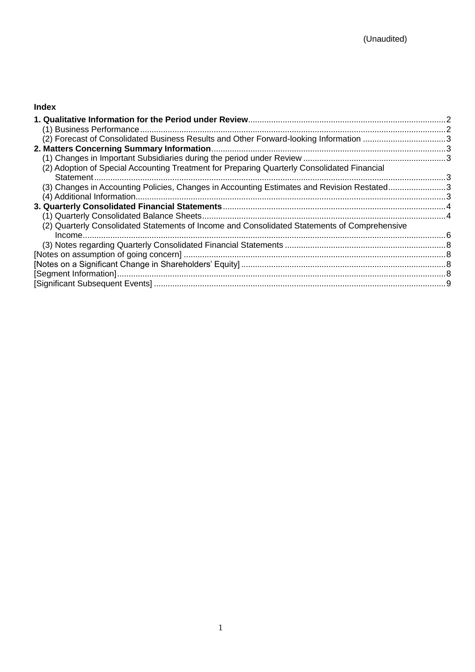# **Index**

| (2) Forecast of Consolidated Business Results and Other Forward-looking Information 3        |  |
|----------------------------------------------------------------------------------------------|--|
|                                                                                              |  |
|                                                                                              |  |
| (2) Adoption of Special Accounting Treatment for Preparing Quarterly Consolidated Financial  |  |
|                                                                                              |  |
| (3) Changes in Accounting Policies, Changes in Accounting Estimates and Revision Restated3   |  |
|                                                                                              |  |
|                                                                                              |  |
|                                                                                              |  |
| (2) Quarterly Consolidated Statements of Income and Consolidated Statements of Comprehensive |  |
|                                                                                              |  |
|                                                                                              |  |
|                                                                                              |  |
|                                                                                              |  |
|                                                                                              |  |
|                                                                                              |  |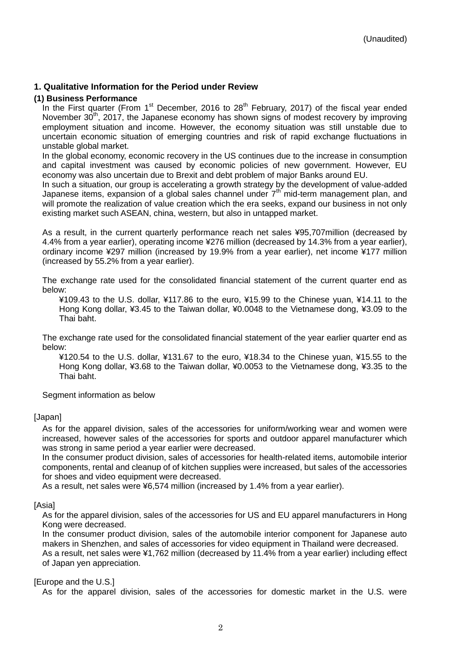### <span id="page-3-0"></span>**1. Qualitative Information for the Period under Review**

#### <span id="page-3-1"></span>**(1) Business Performance**

In the First quarter (From 1<sup>st</sup> December, 2016 to 28<sup>th</sup> February, 2017) of the fiscal year ended November  $30<sup>th</sup>$ , 2017, the Japanese economy has shown signs of modest recovery by improving employment situation and income. However, the economy situation was still unstable due to uncertain economic situation of emerging countries and risk of rapid exchange fluctuations in unstable global market.

In the global economy, economic recovery in the US continues due to the increase in consumption and capital investment was caused by economic policies of new government. However, EU economy was also uncertain due to Brexit and debt problem of major Banks around EU.

In such a situation, our group is accelerating a growth strategy by the development of value-added Japanese items, expansion of a global sales channel under  $7<sup>th</sup>$  mid-term management plan, and will promote the realization of value creation which the era seeks, expand our business in not only existing market such ASEAN, china, western, but also in untapped market.

As a result, in the current quarterly performance reach net sales ¥95,707million (decreased by 4.4% from a year earlier), operating income ¥276 million (decreased by 14.3% from a year earlier), ordinary income ¥297 million (increased by 19.9% from a year earlier), net income ¥177 million (increased by 55.2% from a year earlier).

The exchange rate used for the consolidated financial statement of the current quarter end as below:

¥109.43 to the U.S. dollar, ¥117.86 to the euro, ¥15.99 to the Chinese yuan, ¥14.11 to the Hong Kong dollar, ¥3.45 to the Taiwan dollar, ¥0.0048 to the Vietnamese dong, ¥3.09 to the Thai baht.

The exchange rate used for the consolidated financial statement of the year earlier quarter end as below:

¥120.54 to the U.S. dollar, ¥131.67 to the euro, ¥18.34 to the Chinese yuan, ¥15.55 to the Hong Kong dollar, ¥3.68 to the Taiwan dollar, ¥0.0053 to the Vietnamese dong, ¥3.35 to the Thai baht.

Segment information as below

#### [Japan]

As for the apparel division, sales of the accessories for uniform/working wear and women were increased, however sales of the accessories for sports and outdoor apparel manufacturer which was strong in same period a year earlier were decreased.

In the consumer product division, sales of accessories for health-related items, automobile interior components, rental and cleanup of of kitchen supplies were increased, but sales of the accessories for shoes and video equipment were decreased.

As a result, net sales were ¥6,574 million (increased by 1.4% from a year earlier).

#### [Asia]

As for the apparel division, sales of the accessories for US and EU apparel manufacturers in Hong Kong were decreased.

In the consumer product division, sales of the automobile interior component for Japanese auto makers in Shenzhen, and sales of accessories for video equipment in Thailand were decreased. As a result, net sales were ¥1,762 million (decreased by 11.4% from a year earlier) including effect of Japan yen appreciation.

#### [Europe and the U.S.]

As for the apparel division, sales of the accessories for domestic market in the U.S. were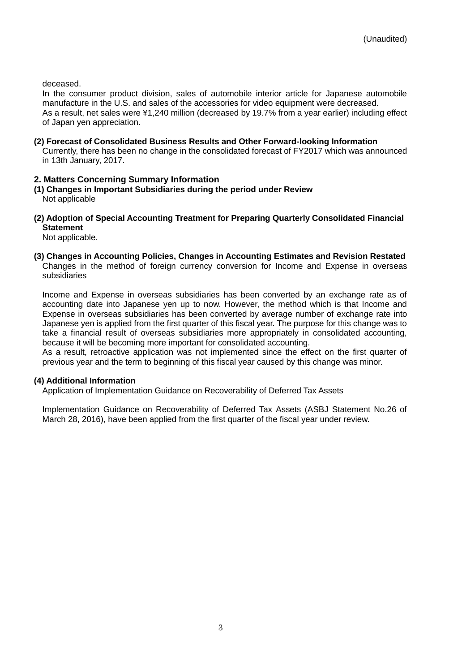deceased.

In the consumer product division, sales of automobile interior article for Japanese automobile manufacture in the U.S. and sales of the accessories for video equipment were decreased. As a result, net sales were ¥1,240 million (decreased by 19.7% from a year earlier) including effect of Japan yen appreciation.

#### <span id="page-4-0"></span>**(2) Forecast of Consolidated Business Results and Other Forward-looking Information**

Currently, there has been no change in the consolidated forecast of FY2017 which was announced in 13th January, 2017.

# <span id="page-4-1"></span>**2. Matters Concerning Summary Information**

- <span id="page-4-2"></span>**(1) Changes in Important Subsidiaries during the period under Review** Not applicable
- <span id="page-4-4"></span><span id="page-4-3"></span>**(2) Adoption of Special Accounting Treatment for Preparing Quarterly Consolidated Financial Statement**

Not applicable.

# <span id="page-4-5"></span>**(3) Changes in Accounting Policies, Changes in Accounting Estimates and Revision Restated**

Changes in the method of foreign currency conversion for Income and Expense in overseas subsidiaries

Income and Expense in overseas subsidiaries has been converted by an exchange rate as of accounting date into Japanese yen up to now. However, the method which is that Income and Expense in overseas subsidiaries has been converted by average number of exchange rate into Japanese yen is applied from the first quarter of this fiscal year. The purpose for this change was to take a financial result of overseas subsidiaries more appropriately in consolidated accounting, because it will be becoming more important for consolidated accounting.

As a result, retroactive application was not implemented since the effect on the first quarter of previous year and the term to beginning of this fiscal year caused by this change was minor.

# <span id="page-4-6"></span>**(4) Additional Information**

Application of Implementation Guidance on Recoverability of Deferred Tax Assets

Implementation Guidance on Recoverability of Deferred Tax Assets (ASBJ Statement No.26 of March 28, 2016), have been applied from the first quarter of the fiscal year under review.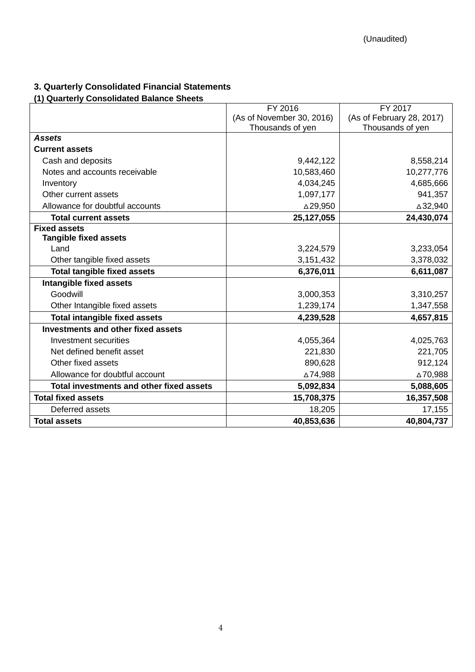# <span id="page-5-0"></span>**3. Quarterly Consolidated Financial Statements**

# <span id="page-5-1"></span>**(1) Quarterly Consolidated Balance Sheets**

|                                          | FY 2016                   | FY 2017                   |
|------------------------------------------|---------------------------|---------------------------|
|                                          | (As of November 30, 2016) | (As of February 28, 2017) |
|                                          | Thousands of yen          | Thousands of yen          |
| <b>Assets</b>                            |                           |                           |
| <b>Current assets</b>                    |                           |                           |
| Cash and deposits                        | 9,442,122                 | 8,558,214                 |
| Notes and accounts receivable            | 10,583,460                | 10,277,776                |
| Inventory                                | 4,034,245                 | 4,685,666                 |
| Other current assets                     | 1,097,177                 | 941,357                   |
| Allowance for doubtful accounts          | △29,950                   | △32,940                   |
| <b>Total current assets</b>              | 25,127,055                | 24,430,074                |
| <b>Fixed assets</b>                      |                           |                           |
| <b>Tangible fixed assets</b>             |                           |                           |
| Land                                     | 3,224,579                 | 3,233,054                 |
| Other tangible fixed assets              | 3,151,432                 | 3,378,032                 |
| <b>Total tangible fixed assets</b>       | 6,376,011                 | 6,611,087                 |
| Intangible fixed assets                  |                           |                           |
| Goodwill                                 | 3,000,353                 | 3,310,257                 |
| Other Intangible fixed assets            | 1,239,174                 | 1,347,558                 |
| <b>Total intangible fixed assets</b>     | 4,239,528                 | 4,657,815                 |
| Investments and other fixed assets       |                           |                           |
| Investment securities                    | 4,055,364                 | 4,025,763                 |
| Net defined benefit asset                | 221,830                   | 221,705                   |
| Other fixed assets                       | 890,628                   | 912,124                   |
| Allowance for doubtful account           | ∆74,988                   | ∆70,988                   |
| Total investments and other fixed assets | 5,092,834                 | 5,088,605                 |
| <b>Total fixed assets</b>                | 15,708,375                | 16,357,508                |
| Deferred assets                          | 18,205                    | 17,155                    |
| <b>Total assets</b>                      | 40,853,636                | 40,804,737                |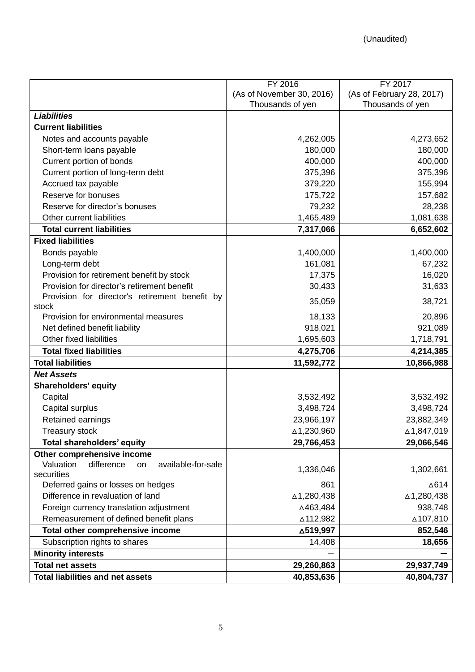|                                                     | FY 2016                   | FY 2017                   |
|-----------------------------------------------------|---------------------------|---------------------------|
|                                                     | (As of November 30, 2016) | (As of February 28, 2017) |
|                                                     | Thousands of yen          | Thousands of yen          |
| <b>Liabilities</b>                                  |                           |                           |
| <b>Current liabilities</b>                          |                           |                           |
| Notes and accounts payable                          | 4,262,005                 | 4,273,652                 |
| Short-term loans payable                            | 180,000                   | 180,000                   |
| Current portion of bonds                            | 400,000                   | 400,000                   |
| Current portion of long-term debt                   | 375,396                   | 375,396                   |
| Accrued tax payable                                 | 379,220                   | 155,994                   |
| Reserve for bonuses                                 | 175,722                   | 157,682                   |
| Reserve for director's bonuses                      | 79,232                    | 28,238                    |
| Other current liabilities                           | 1,465,489                 | 1,081,638                 |
| <b>Total current liabilities</b>                    | 7,317,066                 | 6,652,602                 |
| <b>Fixed liabilities</b>                            |                           |                           |
| Bonds payable                                       | 1,400,000                 | 1,400,000                 |
| Long-term debt                                      | 161,081                   | 67,232                    |
| Provision for retirement benefit by stock           | 17,375                    | 16,020                    |
| Provision for director's retirement benefit         | 30,433                    | 31,633                    |
| Provision for director's retirement benefit by      | 35,059                    | 38,721                    |
| stock                                               |                           |                           |
| Provision for environmental measures                | 18,133                    | 20,896                    |
| Net defined benefit liability                       | 918,021                   | 921,089                   |
| Other fixed liabilities                             | 1,695,603                 | 1,718,791                 |
| <b>Total fixed liabilities</b>                      | 4,275,706                 | 4,214,385                 |
| <b>Total liabilities</b>                            | 11,592,772                | 10,866,988                |
| <b>Net Assets</b>                                   |                           |                           |
| <b>Shareholders' equity</b>                         |                           |                           |
| Capital                                             | 3,532,492                 | 3,532,492                 |
| Capital surplus                                     | 3,498,724                 | 3,498,724                 |
| Retained earnings                                   | 23,966,197                | 23,882,349                |
| <b>Treasury stock</b>                               | △1,230,960                | ∆1,847,019                |
| <b>Total shareholders' equity</b>                   | 29,766,453                | 29,066,546                |
| Other comprehensive income                          |                           |                           |
| Valuation<br>difference<br>available-for-sale<br>on | 1,336,046                 | 1,302,661                 |
| securities                                          |                           |                           |
| Deferred gains or losses on hedges                  | 861                       | ∆614                      |
| Difference in revaluation of land                   | ∆1,280,438                | ∆1,280,438                |
| Foreign currency translation adjustment             | △463,484                  | 938,748                   |
| Remeasurement of defined benefit plans              | ∆112,982                  | ∆107,810                  |
| Total other comprehensive income                    | △519,997                  | 852,546                   |
| Subscription rights to shares                       | 14,408                    | 18,656                    |
| <b>Minority interests</b>                           |                           |                           |
| <b>Total net assets</b>                             | 29,260,863                | 29,937,749                |
| <b>Total liabilities and net assets</b>             | 40,853,636                | 40,804,737                |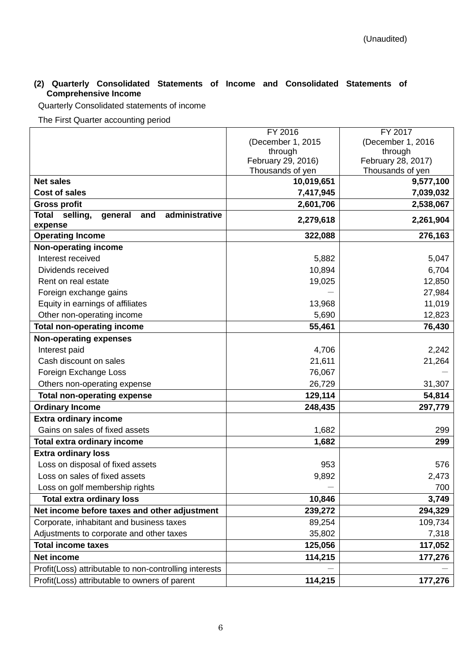### <span id="page-7-0"></span>**(2) Quarterly Consolidated Statements of Income and Consolidated Statements of Comprehensive Income**

Quarterly Consolidated statements of income

The First Quarter accounting period

|                                                        | FY 2016                                | FY 2017                                |
|--------------------------------------------------------|----------------------------------------|----------------------------------------|
|                                                        | (December 1, 2015                      | (December 1, 2016                      |
|                                                        | through                                | through                                |
|                                                        | February 29, 2016)<br>Thousands of yen | February 28, 2017)<br>Thousands of yen |
| <b>Net sales</b>                                       | 10,019,651                             | 9,577,100                              |
| <b>Cost of sales</b>                                   | 7,417,945                              | 7,039,032                              |
| <b>Gross profit</b>                                    | 2,601,706                              | 2,538,067                              |
| Total<br>selling,<br>administrative<br>and<br>general  |                                        |                                        |
| expense                                                | 2,279,618                              | 2,261,904                              |
| <b>Operating Income</b>                                | 322,088                                | 276,163                                |
| Non-operating income                                   |                                        |                                        |
| Interest received                                      | 5,882                                  | 5,047                                  |
| Dividends received                                     | 10,894                                 | 6,704                                  |
| Rent on real estate                                    | 19,025                                 | 12,850                                 |
| Foreign exchange gains                                 |                                        | 27,984                                 |
| Equity in earnings of affiliates                       | 13,968                                 | 11,019                                 |
| Other non-operating income                             | 5,690                                  | 12,823                                 |
| <b>Total non-operating income</b>                      | 55,461                                 | 76,430                                 |
| <b>Non-operating expenses</b>                          |                                        |                                        |
| Interest paid                                          | 4,706                                  | 2,242                                  |
| Cash discount on sales                                 | 21,611                                 | 21,264                                 |
| Foreign Exchange Loss                                  | 76,067                                 |                                        |
| Others non-operating expense                           | 26,729                                 | 31,307                                 |
| <b>Total non-operating expense</b>                     | 129,114                                | 54,814                                 |
| <b>Ordinary Income</b>                                 | 248,435                                | 297,779                                |
| <b>Extra ordinary income</b>                           |                                        |                                        |
| Gains on sales of fixed assets                         | 1,682                                  | 299                                    |
| Total extra ordinary income                            | 1,682                                  | 299                                    |
| <b>Extra ordinary loss</b>                             |                                        |                                        |
| Loss on disposal of fixed assets                       | 953                                    | 576                                    |
| Loss on sales of fixed assets                          | 9,892                                  | 2,473                                  |
| Loss on golf membership rights                         |                                        | 700                                    |
| <b>Total extra ordinary loss</b>                       | 10,846                                 | 3,749                                  |
| Net income before taxes and other adjustment           | 239,272                                | 294,329                                |
| Corporate, inhabitant and business taxes               | 89,254                                 | 109,734                                |
| Adjustments to corporate and other taxes               | 35,802                                 | 7,318                                  |
| <b>Total income taxes</b>                              | 125,056                                | 117,052                                |
| Net income                                             | 114,215                                | 177,276                                |
| Profit(Loss) attributable to non-controlling interests |                                        |                                        |
| Profit(Loss) attributable to owners of parent          | 114,215                                | 177,276                                |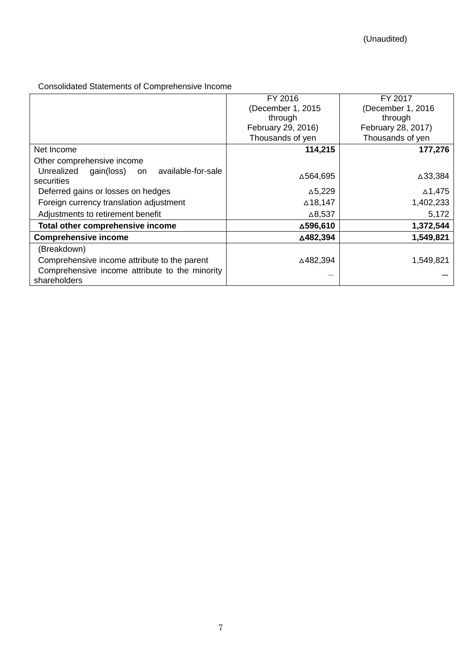# Consolidated Statements of Comprehensive Income

|                                                      | FY 2016            | FY 2017            |
|------------------------------------------------------|--------------------|--------------------|
|                                                      | (December 1, 2015) | (December 1, 2016  |
|                                                      | through            | through            |
|                                                      | February 29, 2016) | February 28, 2017) |
|                                                      | Thousands of yen   | Thousands of yen   |
| Net Income                                           | 114,215            | 177,276            |
| Other comprehensive income                           |                    |                    |
| Unrealized<br>available-for-sale<br>gain(loss)<br>on | △564,695           | △33,384            |
| securities                                           |                    |                    |
| Deferred gains or losses on hedges                   | $\Delta$ 5,229     | ∆1,475             |
| Foreign currency translation adjustment              | $\triangle$ 18,147 | 1,402,233          |
| Adjustments to retirement benefit                    | $\triangle$ 8,537  | 5,172              |
| Total other comprehensive income                     | △596,610           | 1,372,544          |
| <b>Comprehensive income</b>                          | △482,394           | 1,549,821          |
| (Breakdown)                                          |                    |                    |
| Comprehensive income attribute to the parent         | △482,394           | 1,549,821          |
| Comprehensive income attribute to the minority       |                    |                    |
| shareholders                                         |                    |                    |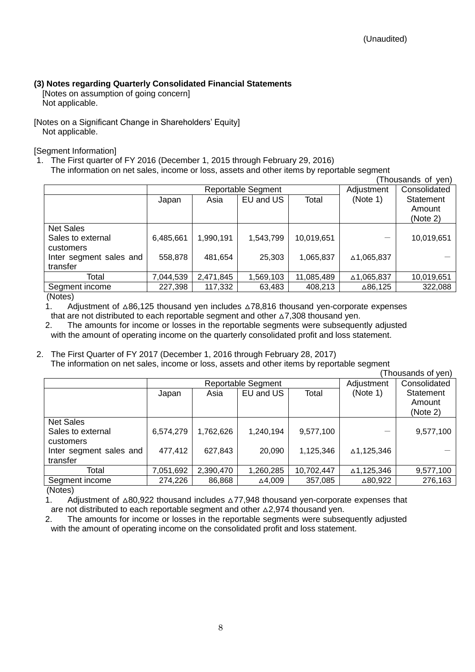# <span id="page-9-0"></span>**(3) Notes regarding Quarterly Consolidated Financial Statements**

<span id="page-9-1"></span>[Notes on assumption of going concern] Not applicable.

<span id="page-9-2"></span>[Notes on a Significant Change in Shareholders' Equity] Not applicable.

<span id="page-9-3"></span>[Segment Information]

1. The First quarter of FY 2016 (December 1, 2015 through February 29, 2016) The information on net sales, income or loss, assets and other items by reportable segment

(Thousands of yen)

| 1100                                               |                    |           |           |            |            |                                 |
|----------------------------------------------------|--------------------|-----------|-----------|------------|------------|---------------------------------|
|                                                    | Reportable Segment |           |           |            | Adjustment | Consolidated                    |
|                                                    | Japan              | Asia      | EU and US | Total      | (Note 1)   | Statement<br>Amount<br>(Note 2) |
| <b>Net Sales</b><br>Sales to external<br>customers | 6,485,661          | 1,990,191 | 1,543,799 | 10,019,651 |            | 10,019,651                      |
| Inter segment sales and<br>transfer                | 558,878            | 481,654   | 25,303    | 1,065,837  | △1,065,837 |                                 |
| Total                                              | 7,044,539          | 2,471,845 | 1,569,103 | 11,085,489 | △1,065,837 | 10,019,651                      |
| Segment income                                     | 227,398            | 117,332   | 63,483    | 408,213    | ∆86,125    | 322,088                         |
| $\mathbf{A}$ $\mathbf{A}$ $\mathbf{A}$             |                    |           |           |            |            |                                 |

(Notes)

1. Adjustment of △86,125 thousand yen includes △78,816 thousand yen-corporate expenses that are not distributed to each reportable segment and other  $\triangle 7,308$  thousand yen.

2. The amounts for income or losses in the reportable segments were subsequently adjusted with the amount of operating income on the quarterly consolidated profit and loss statement.

#### 2. The First Quarter of FY 2017 (December 1, 2016 through February 28, 2017) The information on net sales, income or loss, assets and other items by reportable segment

|                                     |                           |           |           |            |            | (Thousands of yen)              |
|-------------------------------------|---------------------------|-----------|-----------|------------|------------|---------------------------------|
|                                     | <b>Reportable Segment</b> |           |           |            | Adjustment | Consolidated                    |
|                                     | Japan                     | Asia      | EU and US | Total      | (Note 1)   | Statement<br>Amount<br>(Note 2) |
| Net Sales                           |                           |           |           |            |            |                                 |
| Sales to external<br>customers      | 6,574,279                 | 1,762,626 | 1,240,194 | 9,577,100  |            | 9,577,100                       |
| Inter segment sales and<br>transfer | 477,412                   | 627,843   | 20,090    | 1,125,346  | ∆1,125,346 |                                 |
| Total                               | 7,051,692                 | 2,390,470 | 1,260,285 | 10,702,447 | ∆1,125,346 | 9,577,100                       |
| Segment income                      | 274,226                   | 86,868    | ∆4,009    | 357,085    | △80,922    | 276,163                         |

(Notes)

1. Adjustment of △80,922 thousand includes △77,948 thousand yen-corporate expenses that are not distributed to each reportable segment and other △2,974 thousand yen.

2. The amounts for income or losses in the reportable segments were subsequently adjusted with the amount of operating income on the consolidated profit and loss statement.